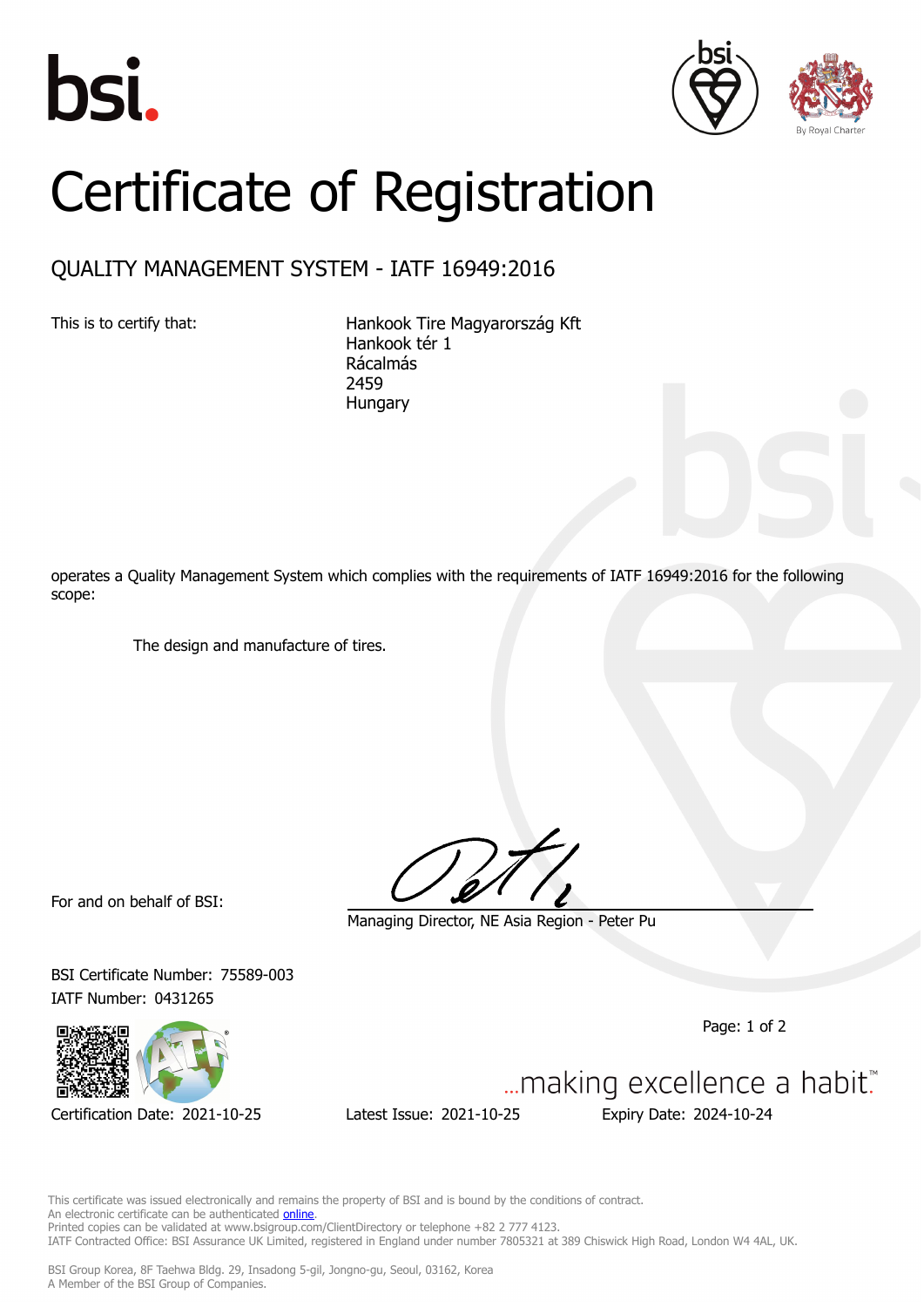





## Certificate of Registration

## QUALITY MANAGEMENT SYSTEM - IATF 16949:2016

This is to certify that: Hankook Tire Magyarország Kft Hankook tér 1 Rácalmás 2459 **Hungary** 

operates a Quality Management System which complies with the requirements of IATF 16949:2016 for the following scope:

The design and manufacture of tires.

For and on behalf of BSI:

Managing Director, NE Asia Region - Peter Pu

Page: 1 of 2

... making excellence a habit."



IATF Number: 0431265

Certification Date: 2021-10-25 Latest Issue: 2021-10-25 Expiry Date: 2024-10-24

BSI Certificate Number: 75589-003

This certificate was issued electronically and remains the property of BSI and is bound by the conditions of contract. An electronic certificate can be authenticated **[online](https://pgplus.bsigroup.com/CertificateValidation/CertificateValidator.aspx?CertificateNumber=IATF+75589-003&ReIssueDate=25%2f10%2f2021&Template=korea_en)**. Printed copies can be validated at www.bsigroup.com/ClientDirectory or telephone +82 2 777 4123. IATF Contracted Office: BSI Assurance UK Limited, registered in England under number 7805321 at 389 Chiswick High Road, London W4 4AL, UK.

BSI Group Korea, 8F Taehwa Bldg. 29, Insadong 5-gil, Jongno-gu, Seoul, 03162, Korea A Member of the BSI Group of Companies.